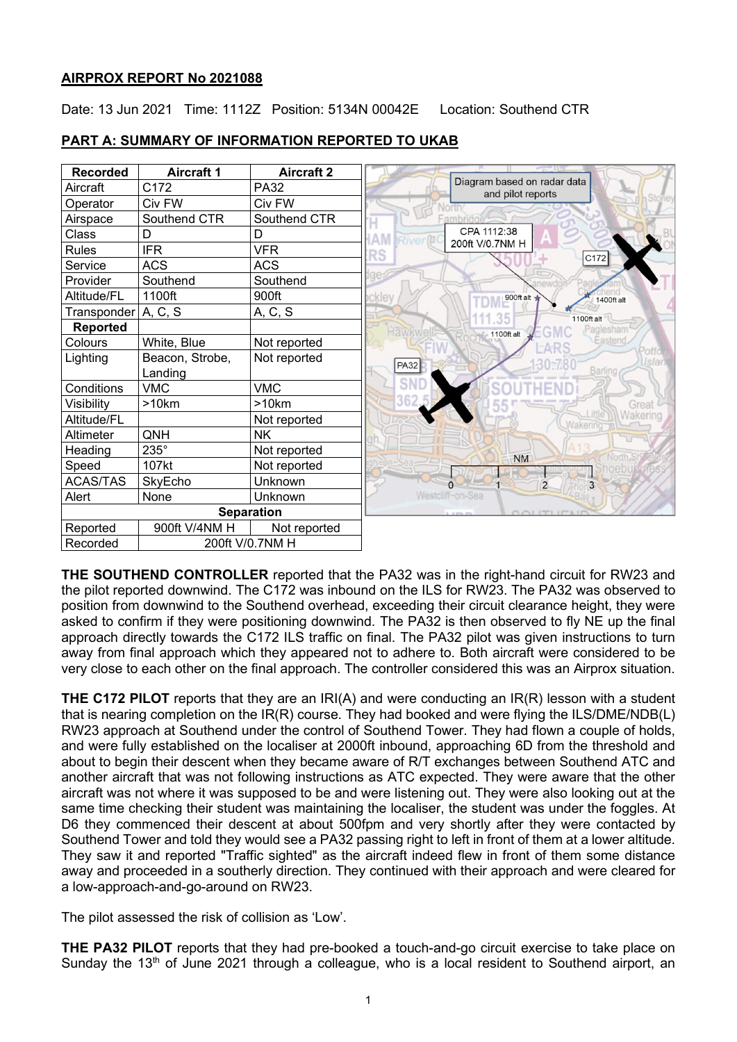## **AIRPROX REPORT No 2021088**

Date: 13 Jun 2021 Time: 1112Z Position: 5134N 00042E Location: Southend CTR



# **PART A: SUMMARY OF INFORMATION REPORTED TO UKAB**

**THE SOUTHEND CONTROLLER** reported that the PA32 was in the right-hand circuit for RW23 and the pilot reported downwind. The C172 was inbound on the ILS for RW23. The PA32 was observed to position from downwind to the Southend overhead, exceeding their circuit clearance height, they were asked to confirm if they were positioning downwind. The PA32 is then observed to fly NE up the final approach directly towards the C172 ILS traffic on final. The PA32 pilot was given instructions to turn away from final approach which they appeared not to adhere to. Both aircraft were considered to be very close to each other on the final approach. The controller considered this was an Airprox situation.

**THE C172 PILOT** reports that they are an IRI(A) and were conducting an IR(R) lesson with a student that is nearing completion on the IR(R) course. They had booked and were flying the ILS/DME/NDB(L) RW23 approach at Southend under the control of Southend Tower. They had flown a couple of holds, and were fully established on the localiser at 2000ft inbound, approaching 6D from the threshold and about to begin their descent when they became aware of R/T exchanges between Southend ATC and another aircraft that was not following instructions as ATC expected. They were aware that the other aircraft was not where it was supposed to be and were listening out. They were also looking out at the same time checking their student was maintaining the localiser, the student was under the foggles. At D6 they commenced their descent at about 500fpm and very shortly after they were contacted by Southend Tower and told they would see a PA32 passing right to left in front of them at a lower altitude. They saw it and reported "Traffic sighted" as the aircraft indeed flew in front of them some distance away and proceeded in a southerly direction. They continued with their approach and were cleared for a low-approach-and-go-around on RW23.

The pilot assessed the risk of collision as 'Low'.

**THE PA32 PILOT** reports that they had pre-booked a touch-and-go circuit exercise to take place on Sunday the 13<sup>th</sup> of June 2021 through a colleague, who is a local resident to Southend airport, an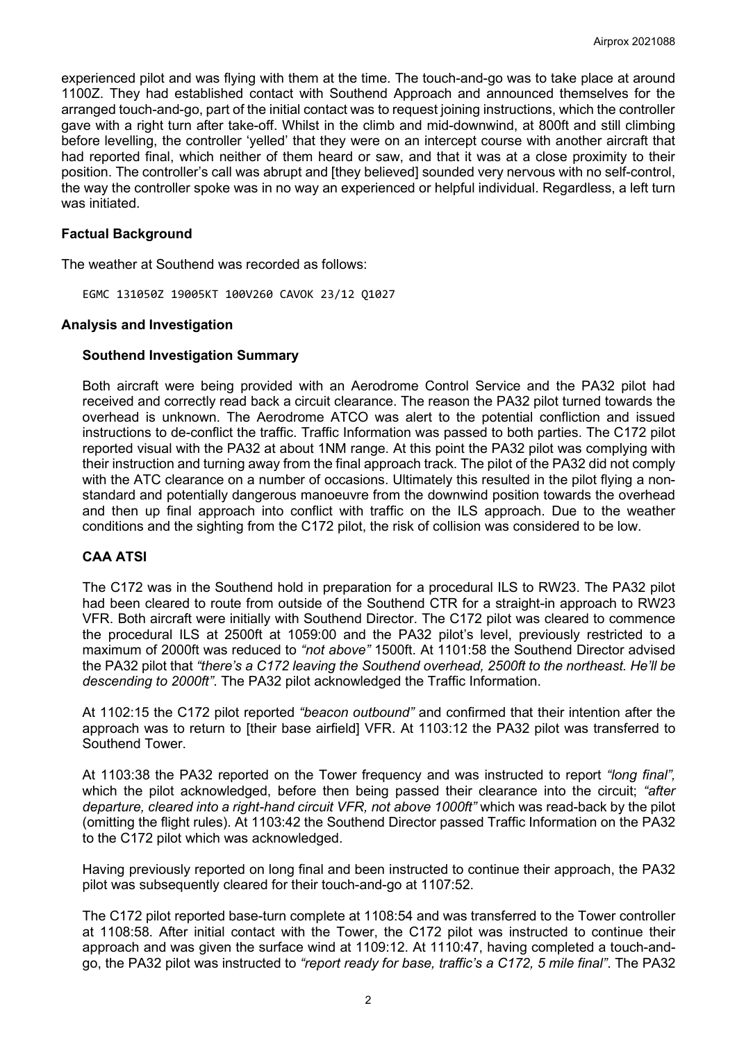experienced pilot and was flying with them at the time. The touch-and-go was to take place at around 1100Z. They had established contact with Southend Approach and announced themselves for the arranged touch-and-go, part of the initial contact was to request joining instructions, which the controller gave with a right turn after take-off. Whilst in the climb and mid-downwind, at 800ft and still climbing before levelling, the controller 'yelled' that they were on an intercept course with another aircraft that had reported final, which neither of them heard or saw, and that it was at a close proximity to their position. The controller's call was abrupt and [they believed] sounded very nervous with no self-control, the way the controller spoke was in no way an experienced or helpful individual. Regardless, a left turn was initiated.

## **Factual Background**

The weather at Southend was recorded as follows:

EGMC 131050Z 19005KT 100V260 CAVOK 23/12 Q1027

## **Analysis and Investigation**

## **Southend Investigation Summary**

Both aircraft were being provided with an Aerodrome Control Service and the PA32 pilot had received and correctly read back a circuit clearance. The reason the PA32 pilot turned towards the overhead is unknown. The Aerodrome ATCO was alert to the potential confliction and issued instructions to de-conflict the traffic. Traffic Information was passed to both parties. The C172 pilot reported visual with the PA32 at about 1NM range. At this point the PA32 pilot was complying with their instruction and turning away from the final approach track. The pilot of the PA32 did not comply with the ATC clearance on a number of occasions. Ultimately this resulted in the pilot flying a nonstandard and potentially dangerous manoeuvre from the downwind position towards the overhead and then up final approach into conflict with traffic on the ILS approach. Due to the weather conditions and the sighting from the C172 pilot, the risk of collision was considered to be low.

## **CAA ATSI**

The C172 was in the Southend hold in preparation for a procedural ILS to RW23. The PA32 pilot had been cleared to route from outside of the Southend CTR for a straight-in approach to RW23 VFR. Both aircraft were initially with Southend Director. The C172 pilot was cleared to commence the procedural ILS at 2500ft at 1059:00 and the PA32 pilot's level, previously restricted to a maximum of 2000ft was reduced to *"not above"* 1500ft. At 1101:58 the Southend Director advised the PA32 pilot that *"there's a C172 leaving the Southend overhead, 2500ft to the northeast. He'll be descending to 2000ft"*. The PA32 pilot acknowledged the Traffic Information.

At 1102:15 the C172 pilot reported *"beacon outbound"* and confirmed that their intention after the approach was to return to [their base airfield] VFR. At 1103:12 the PA32 pilot was transferred to Southend Tower.

At 1103:38 the PA32 reported on the Tower frequency and was instructed to report *"long final",* which the pilot acknowledged, before then being passed their clearance into the circuit; *"after departure, cleared into a right-hand circuit VFR, not above 1000ft"* which was read-back by the pilot (omitting the flight rules). At 1103:42 the Southend Director passed Traffic Information on the PA32 to the C172 pilot which was acknowledged.

Having previously reported on long final and been instructed to continue their approach, the PA32 pilot was subsequently cleared for their touch-and-go at 1107:52.

The C172 pilot reported base-turn complete at 1108:54 and was transferred to the Tower controller at 1108:58. After initial contact with the Tower, the C172 pilot was instructed to continue their approach and was given the surface wind at 1109:12. At 1110:47, having completed a touch-andgo, the PA32 pilot was instructed to *"report ready for base, traffic's a C172, 5 mile final"*. The PA32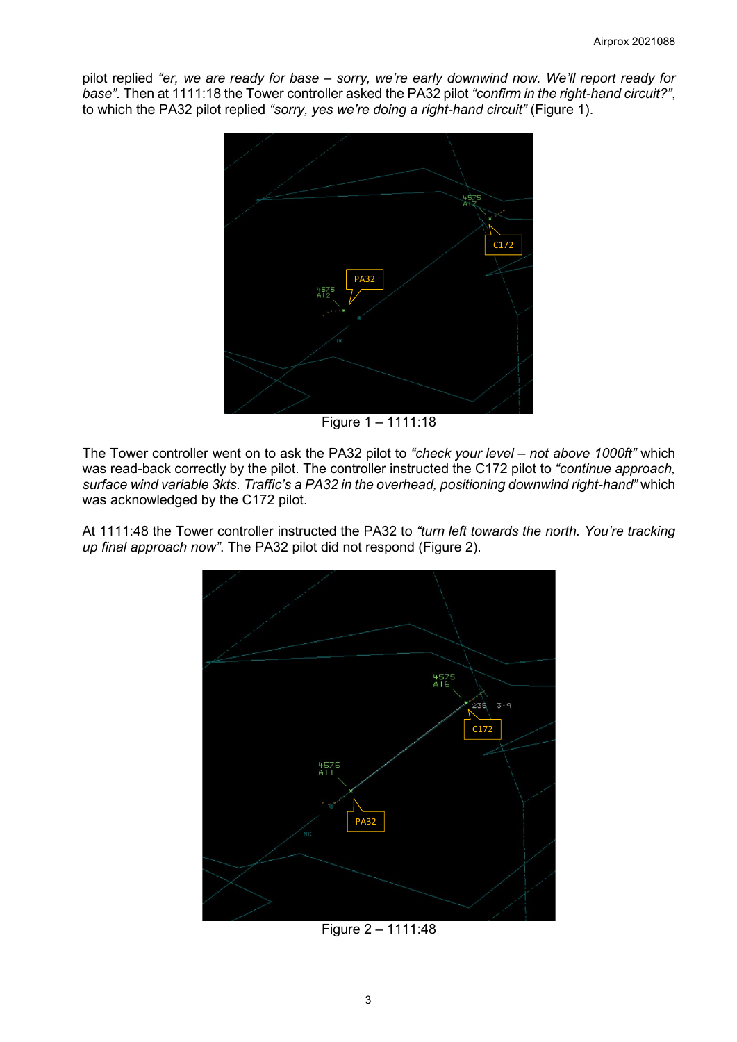pilot replied *"er, we are ready for base – sorry, we're early downwind now. We'll report ready for base".* Then at 1111:18 the Tower controller asked the PA32 pilot *"confirm in the right-hand circuit?"*, to which the PA32 pilot replied *"sorry, yes we're doing a right-hand circuit"* (Figure 1).



Figure 1 – 1111:18

The Tower controller went on to ask the PA32 pilot to *"check your level – not above 1000ft"* which was read-back correctly by the pilot. The controller instructed the C172 pilot to *"continue approach, surface wind variable 3kts. Traffic's a PA32 in the overhead, positioning downwind right-hand"* which was acknowledged by the C172 pilot.

At 1111:48 the Tower controller instructed the PA32 to *"turn left towards the north. You're tracking up final approach now"*. The PA32 pilot did not respond (Figure 2).



Figure 2 – 1111:48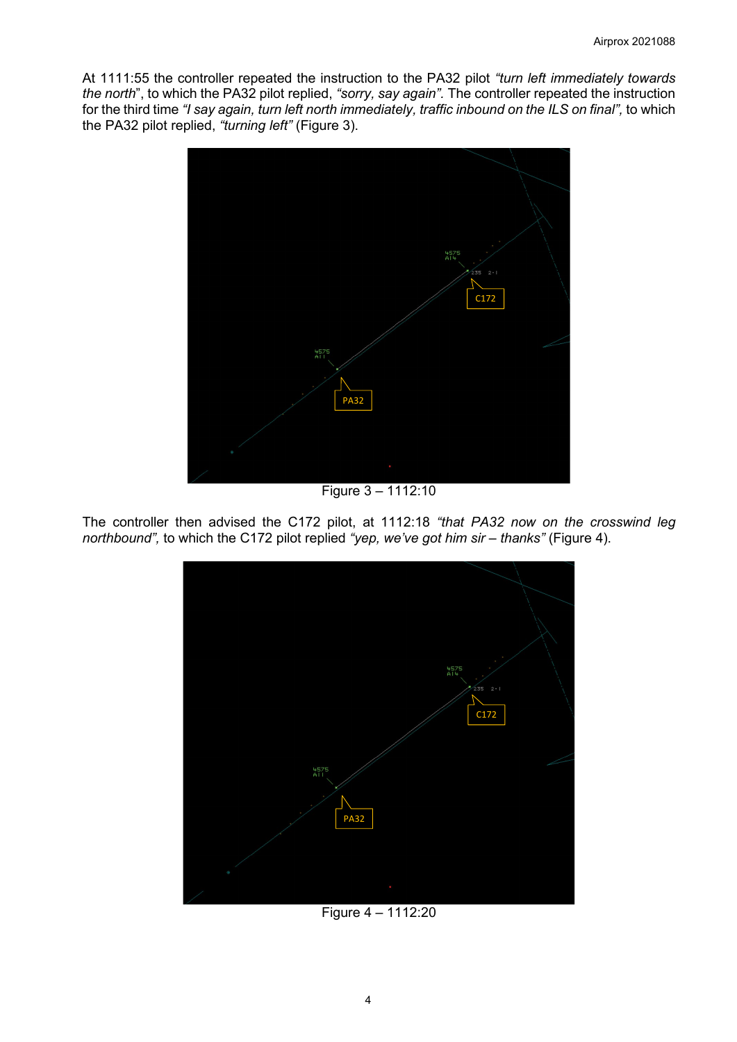At 1111:55 the controller repeated the instruction to the PA32 pilot *"turn left immediately towards the north*", to which the PA32 pilot replied, *"sorry, say again".* The controller repeated the instruction for the third time *"I say again, turn left north immediately, traffic inbound on the ILS on final",* to which the PA32 pilot replied, *"turning left"* (Figure 3).



Figure 3 – 1112:10

The controller then advised the C172 pilot, at 1112:18 *"that PA32 now on the crosswind leg northbound",* to which the C172 pilot replied *"yep, we've got him sir – thanks"* (Figure 4).



Figure 4 – 1112:20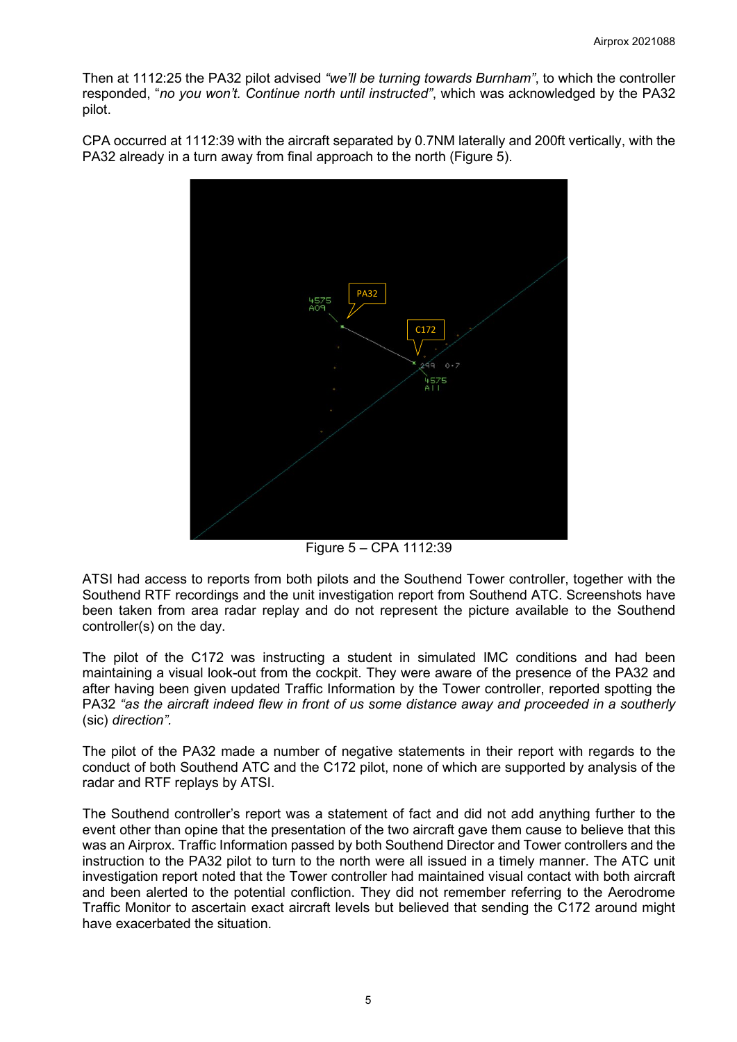Then at 1112:25 the PA32 pilot advised *"we'll be turning towards Burnham"*, to which the controller responded, "*no you won't. Continue north until instructed"*, which was acknowledged by the PA32 pilot.

CPA occurred at 1112:39 with the aircraft separated by 0.7NM laterally and 200ft vertically, with the PA32 already in a turn away from final approach to the north (Figure 5).



Figure 5 – CPA 1112:39

ATSI had access to reports from both pilots and the Southend Tower controller, together with the Southend RTF recordings and the unit investigation report from Southend ATC. Screenshots have been taken from area radar replay and do not represent the picture available to the Southend controller(s) on the day.

The pilot of the C172 was instructing a student in simulated IMC conditions and had been maintaining a visual look-out from the cockpit. They were aware of the presence of the PA32 and after having been given updated Traffic Information by the Tower controller, reported spotting the PA32 *"as the aircraft indeed flew in front of us some distance away and proceeded in a southerly*  (sic) *direction".*

The pilot of the PA32 made a number of negative statements in their report with regards to the conduct of both Southend ATC and the C172 pilot, none of which are supported by analysis of the radar and RTF replays by ATSI.

The Southend controller's report was a statement of fact and did not add anything further to the event other than opine that the presentation of the two aircraft gave them cause to believe that this was an Airprox. Traffic Information passed by both Southend Director and Tower controllers and the instruction to the PA32 pilot to turn to the north were all issued in a timely manner. The ATC unit investigation report noted that the Tower controller had maintained visual contact with both aircraft and been alerted to the potential confliction. They did not remember referring to the Aerodrome Traffic Monitor to ascertain exact aircraft levels but believed that sending the C172 around might have exacerbated the situation.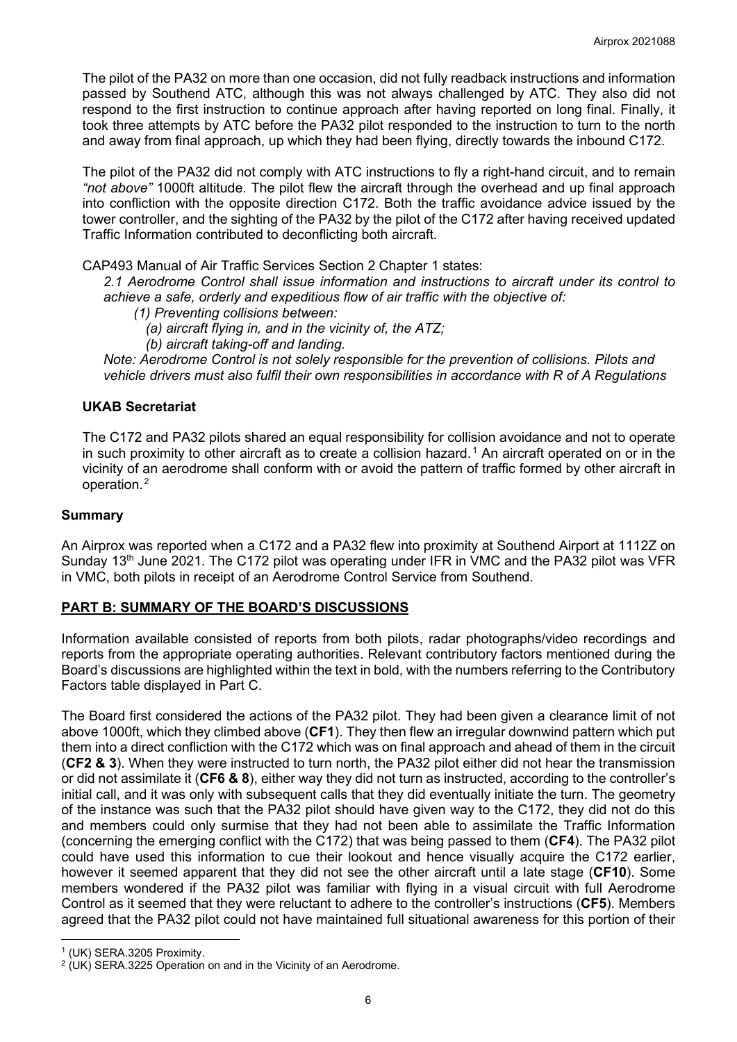The pilot of the PA32 on more than one occasion, did not fully readback instructions and information passed by Southend ATC, although this was not always challenged by ATC. They also did not respond to the first instruction to continue approach after having reported on long final. Finally, it took three attempts by ATC before the PA32 pilot responded to the instruction to turn to the north and away from final approach, up which they had been flying, directly towards the inbound C172.

The pilot of the PA32 did not comply with ATC instructions to fly a right-hand circuit, and to remain *"not above"* 1000ft altitude. The pilot flew the aircraft through the overhead and up final approach into confliction with the opposite direction C172. Both the traffic avoidance advice issued by the tower controller, and the sighting of the PA32 by the pilot of the C172 after having received updated Traffic Information contributed to deconflicting both aircraft.

CAP493 Manual of Air Traffic Services Section 2 Chapter 1 states:

*2.1 Aerodrome Control shall issue information and instructions to aircraft under its control to achieve a safe, orderly and expeditious flow of air traffic with the objective of:*

- *(1) Preventing collisions between:*
	- *(a) aircraft flying in, and in the vicinity of, the ATZ;*
- *(b) aircraft taking-off and landing.*

*Note: Aerodrome Control is not solely responsible for the prevention of collisions. Pilots and vehicle drivers must also fulfil their own responsibilities in accordance with R of A Regulations*

## **UKAB Secretariat**

The C172 and PA32 pilots shared an equal responsibility for collision avoidance and not to operate in such proximity to other aircraft as to create a collision hazard.<sup>[1](#page-5-0)</sup> An aircraft operated on or in the vicinity of an aerodrome shall conform with or avoid the pattern of traffic formed by other aircraft in operation.[2](#page-5-1)

#### **Summary**

An Airprox was reported when a C172 and a PA32 flew into proximity at Southend Airport at 1112Z on Sunday 13<sup>th</sup> June 2021. The C172 pilot was operating under IFR in VMC and the PA32 pilot was VFR in VMC, both pilots in receipt of an Aerodrome Control Service from Southend.

## **PART B: SUMMARY OF THE BOARD'S DISCUSSIONS**

Information available consisted of reports from both pilots, radar photographs/video recordings and reports from the appropriate operating authorities. Relevant contributory factors mentioned during the Board's discussions are highlighted within the text in bold, with the numbers referring to the Contributory Factors table displayed in Part C.

The Board first considered the actions of the PA32 pilot. They had been given a clearance limit of not above 1000ft, which they climbed above (**CF1**). They then flew an irregular downwind pattern which put them into a direct confliction with the C172 which was on final approach and ahead of them in the circuit (**CF2 & 3**). When they were instructed to turn north, the PA32 pilot either did not hear the transmission or did not assimilate it (**CF6 & 8**), either way they did not turn as instructed, according to the controller's initial call, and it was only with subsequent calls that they did eventually initiate the turn. The geometry of the instance was such that the PA32 pilot should have given way to the C172, they did not do this and members could only surmise that they had not been able to assimilate the Traffic Information (concerning the emerging conflict with the C172) that was being passed to them (**CF4**). The PA32 pilot could have used this information to cue their lookout and hence visually acquire the C172 earlier, however it seemed apparent that they did not see the other aircraft until a late stage (**CF10**). Some members wondered if the PA32 pilot was familiar with flying in a visual circuit with full Aerodrome Control as it seemed that they were reluctant to adhere to the controller's instructions (**CF5**). Members agreed that the PA32 pilot could not have maintained full situational awareness for this portion of their

<span id="page-5-0"></span><sup>1</sup> (UK) SERA.3205 Proximity.

<span id="page-5-1"></span> $2$  (UK) SERA.3225 Operation on and in the Vicinity of an Aerodrome.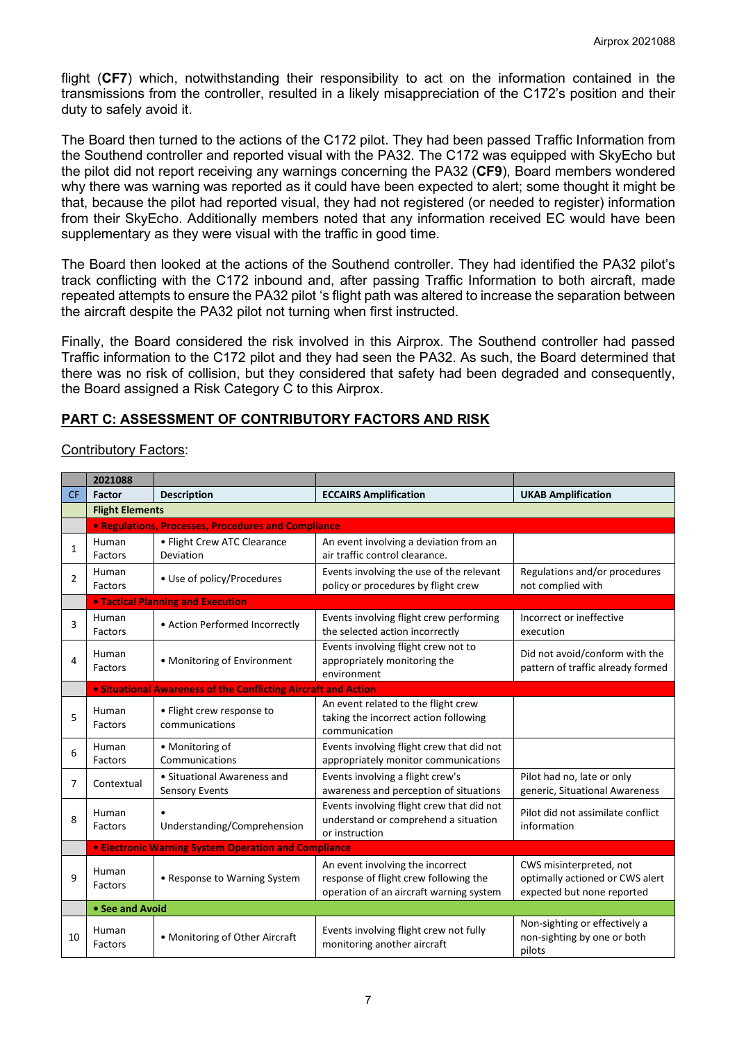flight (**CF7**) which, notwithstanding their responsibility to act on the information contained in the transmissions from the controller, resulted in a likely misappreciation of the C172's position and their duty to safely avoid it.

The Board then turned to the actions of the C172 pilot. They had been passed Traffic Information from the Southend controller and reported visual with the PA32. The C172 was equipped with SkyEcho but the pilot did not report receiving any warnings concerning the PA32 (**CF9**), Board members wondered why there was warning was reported as it could have been expected to alert; some thought it might be that, because the pilot had reported visual, they had not registered (or needed to register) information from their SkyEcho. Additionally members noted that any information received EC would have been supplementary as they were visual with the traffic in good time.

The Board then looked at the actions of the Southend controller. They had identified the PA32 pilot's track conflicting with the C172 inbound and, after passing Traffic Information to both aircraft, made repeated attempts to ensure the PA32 pilot 's flight path was altered to increase the separation between the aircraft despite the PA32 pilot not turning when first instructed.

Finally, the Board considered the risk involved in this Airprox. The Southend controller had passed Traffic information to the C172 pilot and they had seen the PA32. As such, the Board determined that there was no risk of collision, but they considered that safety had been degraded and consequently, the Board assigned a Risk Category C to this Airprox.

## **PART C: ASSESSMENT OF CONTRIBUTORY FACTORS AND RISK**

Contributory Factors:

|                | 2021088                                                     |                                                                |                                                                                                                      |                                                                                          |  |
|----------------|-------------------------------------------------------------|----------------------------------------------------------------|----------------------------------------------------------------------------------------------------------------------|------------------------------------------------------------------------------------------|--|
| <b>CF</b>      | Factor                                                      | <b>Description</b>                                             | <b>ECCAIRS Amplification</b>                                                                                         | <b>UKAB Amplification</b>                                                                |  |
|                | <b>Flight Elements</b>                                      |                                                                |                                                                                                                      |                                                                                          |  |
|                | • Regulations, Processes, Procedures and Compliance         |                                                                |                                                                                                                      |                                                                                          |  |
| $\mathbf{1}$   | Human<br>Factors                                            | • Flight Crew ATC Clearance<br>Deviation                       | An event involving a deviation from an<br>air traffic control clearance.                                             |                                                                                          |  |
| $\overline{2}$ | Human<br>Factors                                            | • Use of policy/Procedures                                     | Events involving the use of the relevant<br>policy or procedures by flight crew                                      | Regulations and/or procedures<br>not complied with                                       |  |
|                |                                                             | <b>. Tactical Planning and Execution</b>                       |                                                                                                                      |                                                                                          |  |
| 3              | Human<br>Factors                                            | • Action Performed Incorrectly                                 | Events involving flight crew performing<br>the selected action incorrectly                                           | Incorrect or ineffective<br>execution                                                    |  |
| 4              | Human<br>Factors                                            | • Monitoring of Environment                                    | Events involving flight crew not to<br>appropriately monitoring the<br>environment                                   | Did not avoid/conform with the<br>pattern of traffic already formed                      |  |
|                |                                                             | • Situational Awareness of the Conflicting Aircraft and Action |                                                                                                                      |                                                                                          |  |
| 5              | Human<br>Factors                                            | • Flight crew response to<br>communications                    | An event related to the flight crew<br>taking the incorrect action following<br>communication                        |                                                                                          |  |
| 6              | Human<br>Factors                                            | • Monitoring of<br>Communications                              | Events involving flight crew that did not<br>appropriately monitor communications                                    |                                                                                          |  |
| 7              | Contextual                                                  | • Situational Awareness and<br><b>Sensory Events</b>           | Events involving a flight crew's<br>awareness and perception of situations                                           | Pilot had no, late or only<br>generic, Situational Awareness                             |  |
| 8              | Human<br>Factors                                            | Understanding/Comprehension                                    | Events involving flight crew that did not<br>understand or comprehend a situation<br>or instruction                  | Pilot did not assimilate conflict<br>information                                         |  |
|                | <b>• Electronic Warning System Operation and Compliance</b> |                                                                |                                                                                                                      |                                                                                          |  |
| 9              | Human<br>Factors                                            | • Response to Warning System                                   | An event involving the incorrect<br>response of flight crew following the<br>operation of an aircraft warning system | CWS misinterpreted, not<br>optimally actioned or CWS alert<br>expected but none reported |  |
|                | • See and Avoid                                             |                                                                |                                                                                                                      |                                                                                          |  |
| 10             | Human<br>Factors                                            | • Monitoring of Other Aircraft                                 | Events involving flight crew not fully<br>monitoring another aircraft                                                | Non-sighting or effectively a<br>non-sighting by one or both<br>pilots                   |  |